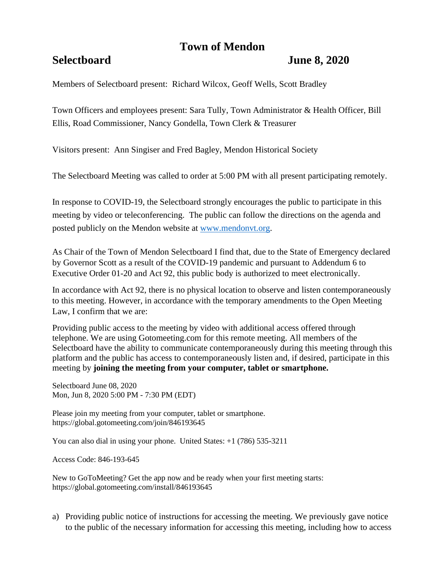# **Town of Mendon**

## **Selectboard June 8, 2020**

Members of Selectboard present: Richard Wilcox, Geoff Wells, Scott Bradley

Town Officers and employees present: Sara Tully, Town Administrator & Health Officer, Bill Ellis, Road Commissioner, Nancy Gondella, Town Clerk & Treasurer

Visitors present: Ann Singiser and Fred Bagley, Mendon Historical Society

The Selectboard Meeting was called to order at 5:00 PM with all present participating remotely.

In response to COVID-19, the Selectboard strongly encourages the public to participate in this meeting by video or teleconferencing. The public can follow the directions on the agenda and posted publicly on the Mendon website at [www.mendonvt.org.](http://www.mendonvt.org/)

As Chair of the Town of Mendon Selectboard I find that, due to the State of Emergency declared by Governor Scott as a result of the COVID-19 pandemic and pursuant to Addendum 6 to Executive Order 01-20 and Act 92, this public body is authorized to meet electronically.

In accordance with Act 92, there is no physical location to observe and listen contemporaneously to this meeting. However, in accordance with the temporary amendments to the Open Meeting Law, I confirm that we are:

Providing public access to the meeting by video with additional access offered through telephone. We are using Gotomeeting.com for this remote meeting. All members of the Selectboard have the ability to communicate contemporaneously during this meeting through this platform and the public has access to contemporaneously listen and, if desired, participate in this meeting by **joining the meeting from your computer, tablet or smartphone.** 

Selectboard June 08, 2020 Mon, Jun 8, 2020 5:00 PM - 7:30 PM (EDT)

Please join my meeting from your computer, tablet or smartphone. https://global.gotomeeting.com/join/846193645

You can also dial in using your phone. United States:  $+1$  (786) 535-3211

Access Code: 846-193-645

New to GoToMeeting? Get the app now and be ready when your first meeting starts: https://global.gotomeeting.com/install/846193645

a) Providing public notice of instructions for accessing the meeting. We previously gave notice to the public of the necessary information for accessing this meeting, including how to access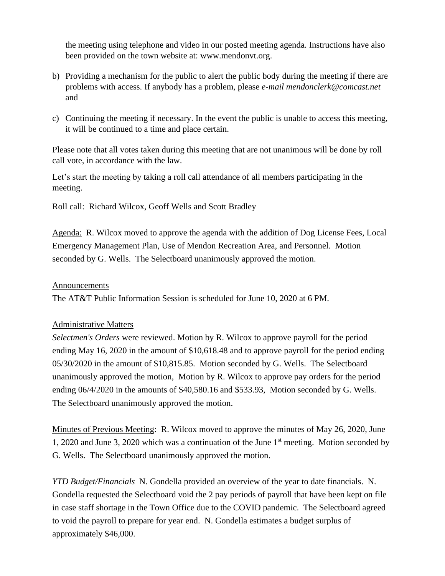the meeting using telephone and video in our posted meeting agenda. Instructions have also been provided on the town website at: www.mendonvt.org.

- b) Providing a mechanism for the public to alert the public body during the meeting if there are problems with access. If anybody has a problem, please *e-mail mendonclerk@comcast.net* and
- c) Continuing the meeting if necessary. In the event the public is unable to access this meeting, it will be continued to a time and place certain.

Please note that all votes taken during this meeting that are not unanimous will be done by roll call vote, in accordance with the law.

Let's start the meeting by taking a roll call attendance of all members participating in the meeting.

Roll call: Richard Wilcox, Geoff Wells and Scott Bradley

Agenda: R. Wilcox moved to approve the agenda with the addition of Dog License Fees, Local Emergency Management Plan, Use of Mendon Recreation Area, and Personnel. Motion seconded by G. Wells. The Selectboard unanimously approved the motion.

### Announcements

The AT&T Public Information Session is scheduled for June 10, 2020 at 6 PM.

#### Administrative Matters

*Selectmen's Orders* were reviewed. Motion by R. Wilcox to approve payroll for the period ending May 16, 2020 in the amount of \$10,618.48 and to approve payroll for the period ending 05/30/2020 in the amount of \$10,815.85. Motion seconded by G. Wells. The Selectboard unanimously approved the motion, Motion by R. Wilcox to approve pay orders for the period ending 06/4/2020 in the amounts of \$40,580.16 and \$533.93, Motion seconded by G. Wells. The Selectboard unanimously approved the motion.

Minutes of Previous Meeting: R. Wilcox moved to approve the minutes of May 26, 2020, June 1, 2020 and June 3, 2020 which was a continuation of the June 1st meeting. Motion seconded by G. Wells. The Selectboard unanimously approved the motion.

*YTD Budget/Financials* N. Gondella provided an overview of the year to date financials. N. Gondella requested the Selectboard void the 2 pay periods of payroll that have been kept on file in case staff shortage in the Town Office due to the COVID pandemic. The Selectboard agreed to void the payroll to prepare for year end. N. Gondella estimates a budget surplus of approximately \$46,000.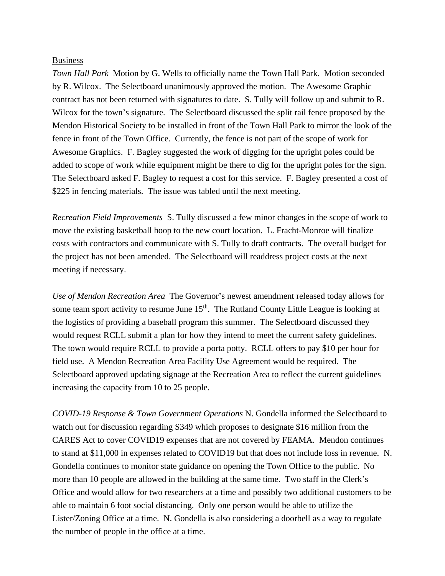#### **Business**

*Town Hall Park* Motion by G. Wells to officially name the Town Hall Park. Motion seconded by R. Wilcox. The Selectboard unanimously approved the motion. The Awesome Graphic contract has not been returned with signatures to date. S. Tully will follow up and submit to R. Wilcox for the town's signature. The Selectboard discussed the split rail fence proposed by the Mendon Historical Society to be installed in front of the Town Hall Park to mirror the look of the fence in front of the Town Office. Currently, the fence is not part of the scope of work for Awesome Graphics. F. Bagley suggested the work of digging for the upright poles could be added to scope of work while equipment might be there to dig for the upright poles for the sign. The Selectboard asked F. Bagley to request a cost for this service. F. Bagley presented a cost of \$225 in fencing materials. The issue was tabled until the next meeting.

*Recreation Field Improvements* S. Tully discussed a few minor changes in the scope of work to move the existing basketball hoop to the new court location. L. Fracht-Monroe will finalize costs with contractors and communicate with S. Tully to draft contracts. The overall budget for the project has not been amended. The Selectboard will readdress project costs at the next meeting if necessary.

*Use of Mendon Recreation Area* The Governor's newest amendment released today allows for some team sport activity to resume June  $15<sup>th</sup>$ . The Rutland County Little League is looking at the logistics of providing a baseball program this summer. The Selectboard discussed they would request RCLL submit a plan for how they intend to meet the current safety guidelines. The town would require RCLL to provide a porta potty. RCLL offers to pay \$10 per hour for field use. A Mendon Recreation Area Facility Use Agreement would be required. The Selectboard approved updating signage at the Recreation Area to reflect the current guidelines increasing the capacity from 10 to 25 people.

*COVID-19 Response & Town Government Operations* N. Gondella informed the Selectboard to watch out for discussion regarding S349 which proposes to designate \$16 million from the CARES Act to cover COVID19 expenses that are not covered by FEAMA. Mendon continues to stand at \$11,000 in expenses related to COVID19 but that does not include loss in revenue. N. Gondella continues to monitor state guidance on opening the Town Office to the public. No more than 10 people are allowed in the building at the same time. Two staff in the Clerk's Office and would allow for two researchers at a time and possibly two additional customers to be able to maintain 6 foot social distancing. Only one person would be able to utilize the Lister/Zoning Office at a time. N. Gondella is also considering a doorbell as a way to regulate the number of people in the office at a time.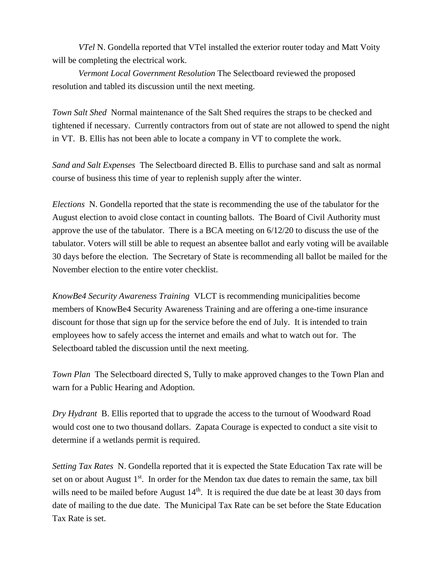*VTel* N. Gondella reported that VTel installed the exterior router today and Matt Voity will be completing the electrical work.

*Vermont Local Government Resolution* The Selectboard reviewed the proposed resolution and tabled its discussion until the next meeting.

*Town Salt Shed* Normal maintenance of the Salt Shed requires the straps to be checked and tightened if necessary. Currently contractors from out of state are not allowed to spend the night in VT. B. Ellis has not been able to locate a company in VT to complete the work.

*Sand and Salt Expenses* The Selectboard directed B. Ellis to purchase sand and salt as normal course of business this time of year to replenish supply after the winter.

*Elections* N. Gondella reported that the state is recommending the use of the tabulator for the August election to avoid close contact in counting ballots. The Board of Civil Authority must approve the use of the tabulator. There is a BCA meeting on 6/12/20 to discuss the use of the tabulator. Voters will still be able to request an absentee ballot and early voting will be available 30 days before the election. The Secretary of State is recommending all ballot be mailed for the November election to the entire voter checklist.

*KnowBe4 Security Awareness Training* VLCT is recommending municipalities become members of KnowBe4 Security Awareness Training and are offering a one-time insurance discount for those that sign up for the service before the end of July. It is intended to train employees how to safely access the internet and emails and what to watch out for. The Selectboard tabled the discussion until the next meeting.

*Town Plan* The Selectboard directed S, Tully to make approved changes to the Town Plan and warn for a Public Hearing and Adoption.

*Dry Hydrant* B. Ellis reported that to upgrade the access to the turnout of Woodward Road would cost one to two thousand dollars. Zapata Courage is expected to conduct a site visit to determine if a wetlands permit is required.

*Setting Tax Rates* N. Gondella reported that it is expected the State Education Tax rate will be set on or about August  $1<sup>st</sup>$ . In order for the Mendon tax due dates to remain the same, tax bill wills need to be mailed before August  $14<sup>th</sup>$ . It is required the due date be at least 30 days from date of mailing to the due date. The Municipal Tax Rate can be set before the State Education Tax Rate is set.